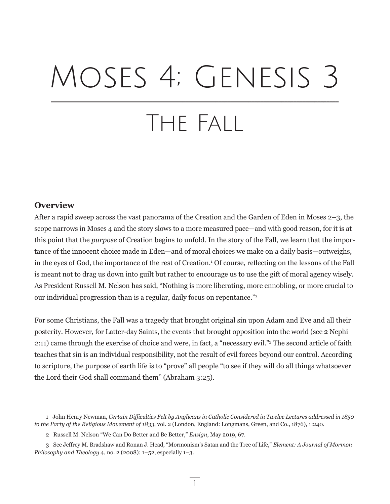# Moses 4; Genesis 3 The Fall \_\_\_\_\_\_\_\_\_\_\_\_\_\_\_\_\_\_\_\_\_\_\_\_\_\_\_\_\_\_\_\_\_\_\_\_\_\_\_\_\_\_\_\_\_\_\_\_\_\_\_\_\_\_\_\_\_\_\_\_\_\_\_\_\_\_\_\_\_\_\_\_\_\_\_\_\_\_\_\_\_\_\_\_\_\_\_\_\_\_\_\_\_\_\_\_

## **Overview**

After a rapid sweep across the vast panorama of the Creation and the Garden of Eden in Moses 2–3, the scope narrows in Moses 4 and the story slows to a more measured pace—and with good reason, for it is at this point that the *purpose* of Creation begins to unfold. In the story of the Fall, we learn that the importance of the innocent choice made in Eden—and of moral choices we make on a daily basis—outweighs, in the eyes of God, the importance of the rest of Creation.<sup>1</sup> Of course, reflecting on the lessons of the Fall is meant not to drag us down into guilt but rather to encourage us to use the gift of moral agency wisely. As President Russell M. Nelson has said, "Nothing is more liberating, more ennobling, or more crucial to our individual progression than is a regular, daily focus on repentance."2

For some Christians, the Fall was a tragedy that brought original sin upon Adam and Eve and all their posterity. However, for Latter-day Saints, the events that brought opposition into the world (see 2 Nephi 2:11) came through the exercise of choice and were, in fact, a "necessary evil."3 The second article of faith teaches that sin is an individual responsibility, not the result of evil forces beyond our control. According to scripture, the purpose of earth life is to "prove" all people "to see if they will do all things whatsoever the Lord their God shall command them" (Abraham 3:25).

1

<sup>1</sup> John Henry Newman, *Certain Difficulties Felt by Anglicans in Catholic Considered in Twelve Lectures addressed in 1850 to the Party of the Religious Movement of 1833*, vol. 2 (London, England: Longmans, Green, and Co., 1876), 1:240.

<sup>2</sup> Russell M. Nelson "We Can Do Better and Be Better," *Ensign*, May 2019, 67.

<sup>3</sup> See Jeffrey M. Bradshaw and Ronan J. Head, "Mormonism's Satan and the Tree of Life," *Element: A Journal of Mormon Philosophy and Theology* 4, no. 2 (2008): 1–52, especially 1–3.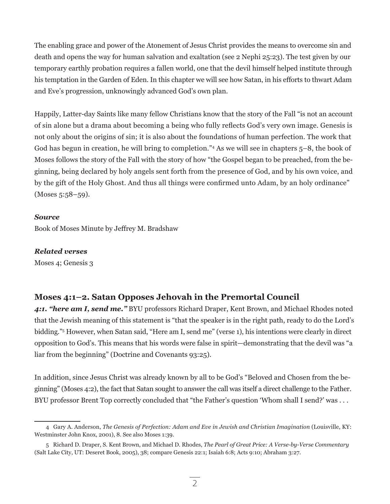The enabling grace and power of the Atonement of Jesus Christ provides the means to overcome sin and death and opens the way for human salvation and exaltation (see 2 Nephi 25:23). The test given by our temporary earthly probation requires a fallen world, one that the devil himself helped institute through his temptation in the Garden of Eden. In this chapter we will see how Satan, in his efforts to thwart Adam and Eve's progression, unknowingly advanced God's own plan.

Happily, Latter-day Saints like many fellow Christians know that the story of the Fall "is not an account of sin alone but a drama about becoming a being who fully reflects God's very own image. Genesis is not only about the origins of sin; it is also about the foundations of human perfection. The work that God has begun in creation, he will bring to completion."4 As we will see in chapters 5–8, the book of Moses follows the story of the Fall with the story of how "the Gospel began to be preached, from the beginning, being declared by holy angels sent forth from the presence of God, and by his own voice, and by the gift of the Holy Ghost. And thus all things were confirmed unto Adam, by an holy ordinance" (Moses 5:58–59).

## *Source*

Book of Moses Minute by Jeffrey M. Bradshaw

## *Related verses*

Moses 4; Genesis 3

## **Moses 4:1–2. Satan Opposes Jehovah in the Premortal Council**

*4:1. "here am I, send me."* BYU professors Richard Draper, Kent Brown, and Michael Rhodes noted that the Jewish meaning of this statement is "that the speaker is in the right path, ready to do the Lord's bidding."5 However, when Satan said, "Here am I, send me" (verse 1), his intentions were clearly in direct opposition to God's. This means that his words were false in spirit—demonstrating that the devil was "a liar from the beginning" (Doctrine and Covenants 93:25).

In addition, since Jesus Christ was already known by all to be God's "Beloved and Chosen from the beginning" (Moses 4:2), the fact that Satan sought to answer the call was itself a direct challenge to the Father. BYU professor Brent Top correctly concluded that "the Father's question 'Whom shall I send?' was ...

<sup>4</sup> Gary A. Anderson, *The Genesis of Perfection: Adam and Eve in Jewish and Christian Imagination* (Louisville, KY: Westminster John Knox, 2001), 8. See also Moses 1:39.

<sup>5</sup> Richard D. Draper, S. Kent Brown, and Michael D. Rhodes, *The Pearl of Great Price: A Verse-by-Verse Commentary* (Salt Lake City, UT: Deseret Book, 2005), 38; compare Genesis 22:1; Isaiah 6:8; Acts 9:10; Abraham 3:27.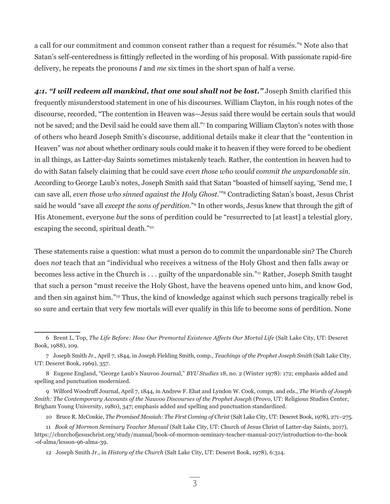a call for our commitment and common consent rather than a request for résumés."6 Note also that Satan's self-centeredness is fittingly reflected in the wording of his proposal. With passionate rapid-fire delivery, he repeats the pronouns *I* and *me* six times in the short span of half a verse.

*4:1. "I will redeem all mankind, that one soul shall not be lost."* Joseph Smith clarified this frequently misunderstood statement in one of his discourses. William Clayton, in his rough notes of the discourse, recorded, "The contention in Heaven was—Jesus said there would be certain souls that would not be saved; and the Devil said he could save them all."7 In comparing William Clayton's notes with those of others who heard Joseph Smith's discourse, additional details make it clear that the "contention in Heaven" was *not* about whether ordinary souls could make it to heaven if they were forced to be obedient in all things, as Latter-day Saints sometimes mistakenly teach. Rather, the contention in heaven had to do with Satan falsely claiming that he could save *even those who would commit the unpardonable sin*. According to George Laub's notes, Joseph Smith said that Satan "boasted of himself saying, 'Send me, I can save all, *even those who sinned against the Holy Ghost*.'"<sup>8</sup> Contradicting Satan's boast, Jesus Christ said he would "save all *except the sons of perdition*."9 In other words, Jesus knew that through the gift of His Atonement, everyone *but* the sons of perdition could be "resurrected to [at least] a telestial glory, escaping the second, spiritual death."10

These statements raise a question: what must a person do to commit the unpardonable sin? The Church does *not* teach that an "individual who receives a witness of the Holy Ghost and then falls away or becomes less active in the Church is . . . guilty of the unpardonable sin."11 Rather, Joseph Smith taught that such a person "must receive the Holy Ghost, have the heavens opened unto him, and know God, and then sin against him."12 Thus, the kind of knowledge against which such persons tragically rebel is so sure and certain that very few mortals will ever qualify in this life to become sons of perdition. None

10 Bruce R. McConkie, *The Promised Messiah: The First Coming of Christ* (Salt Lake City, UT: Deseret Book, 1978), 271–275.

<sup>6</sup> Brent L. Top, *The Life Before: How Our Premortal Existence Affects Our Mortal Life* (Salt Lake City, UT: Deseret Book, 1988), 109.

<sup>7</sup> Joseph Smith Jr., April 7, 1844, in Joseph Fielding Smith, comp., *Teachings of the Prophet Joseph Smith* (Salt Lake City, UT: Deseret Book, 1969), 357.

<sup>8</sup> Eugene England, "George Laub's Nauvoo Journal," *BYU Studies* 18, no. 2 (Winter 1978): 172; emphasis added and spelling and punctuation modernized.

<sup>9</sup> Wilford Woodruff Journal, April 7, 1844, in Andrew F. Ehat and Lyndon W. Cook, comps. and eds., *The Words of Joseph Smith: The Contemporary Accounts of the Nauvoo Discourses of the Prophet Joseph* (Provo, UT: Religious Studies Center, Brigham Young University, 1980), 347; emphasis added and spelling and punctuation standardized.

<sup>11</sup> *Book of Mormon Seminary Teacher Manual* (Salt Lake City, UT: Church of Jesus Christ of Latter-day Saints, 2017), https://churchofjesuschrist.org/study/manual/book-of-mormon-seminary-teacher-manual-2017/introduction-to-the-book -of-alma/lesson-96-alma-39.

<sup>12</sup> Joseph Smith Jr., in *History of the Church* (Salt Lake City, UT: Deseret Book, 1978), 6:314.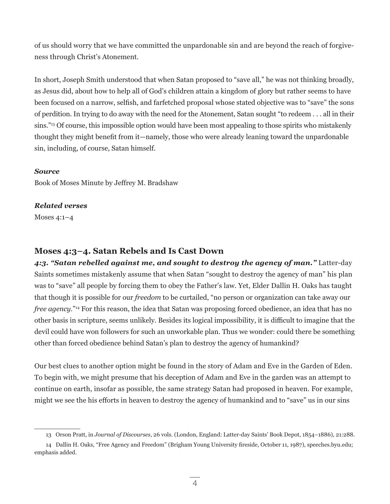of us should worry that we have committed the unpardonable sin and are beyond the reach of forgiveness through Christ's Atonement.

In short, Joseph Smith understood that when Satan proposed to "save all," he was not thinking broadly, as Jesus did, about how to help all of God's children attain a kingdom of glory but rather seems to have been focused on a narrow, selfish, and farfetched proposal whose stated objective was to "save" the sons of perdition. In trying to do away with the need for the Atonement, Satan sought "to redeem . . . all in their sins."<sup>13</sup> Of course, this impossible option would have been most appealing to those spirits who mistakenly thought they might benefit from it—namely, those who were already leaning toward the unpardonable sin, including, of course, Satan himself.

## *Source*

Book of Moses Minute by Jeffrey M. Bradshaw

## *Related verses*

Moses 4:1–4

## **Moses 4:3–4. Satan Rebels and Is Cast Down**

*4:3. "Satan rebelled against me, and sought to destroy the agency of man."* Latter-day Saints sometimes mistakenly assume that when Satan "sought to destroy the agency of man" his plan was to "save" all people by forcing them to obey the Father's law. Yet, Elder Dallin H. Oaks has taught that though it is possible for our *freedom* to be curtailed, "no person or organization can take away our *free agency*."14 For this reason, the idea that Satan was proposing forced obedience, an idea that has no other basis in scripture, seems unlikely. Besides its logical impossibility, it is difficult to imagine that the devil could have won followers for such an unworkable plan. Thus we wonder: could there be something other than forced obedience behind Satan's plan to destroy the agency of humankind?

Our best clues to another option might be found in the story of Adam and Eve in the Garden of Eden. To begin with, we might presume that his deception of Adam and Eve in the garden was an attempt to continue on earth, insofar as possible, the same strategy Satan had proposed in heaven. For example, might we see the his efforts in heaven to destroy the agency of humankind and to "save" us in our sins

<sup>13</sup> Orson Pratt, in *Journal of Discourses*, 26 vols. (London, England: Latter-day Saints' Book Depot, 1854–1886), 21:288.

<sup>14</sup> Dallin H. Oaks, "Free Agency and Freedom" (Brigham Young University fireside, October 11, 1987), speeches.byu.edu; emphasis added.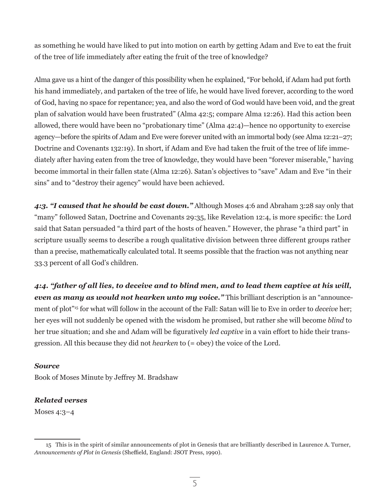as something he would have liked to put into motion on earth by getting Adam and Eve to eat the fruit of the tree of life immediately after eating the fruit of the tree of knowledge?

Alma gave us a hint of the danger of this possibility when he explained, "For behold, if Adam had put forth his hand immediately, and partaken of the tree of life, he would have lived forever, according to the word of God, having no space for repentance; yea, and also the word of God would have been void, and the great plan of salvation would have been frustrated" (Alma 42:5; compare Alma 12:26). Had this action been allowed, there would have been no "probationary time" (Alma 42:4)—hence no opportunity to exercise agency—before the spirits of Adam and Eve were forever united with an immortal body (see Alma 12:21–27; Doctrine and Covenants 132:19). In short, if Adam and Eve had taken the fruit of the tree of life immediately after having eaten from the tree of knowledge, they would have been "forever miserable," having become immortal in their fallen state (Alma 12:26). Satan's objectives to "save" Adam and Eve "in their sins" and to "destroy their agency" would have been achieved.

*4:3. "I caused that he should be cast down."* Although Moses 4:6 and Abraham 3:28 say only that "many" followed Satan, Doctrine and Covenants 29:35, like Revelation 12:4, is more specific: the Lord said that Satan persuaded "a third part of the hosts of heaven." However, the phrase "a third part" in scripture usually seems to describe a rough qualitative division between three different groups rather than a precise, mathematically calculated total. It seems possible that the fraction was not anything near 33.3 percent of all God's children.

*4:4. "father of all lies, to deceive and to blind men, and to lead them captive at his will, even as many as would not hearken unto my voice."* This brilliant description is an "announcement of plot"15 for what will follow in the account of the Fall: Satan will lie to Eve in order to *deceive* her; her eyes will not suddenly be opened with the wisdom he promised, but rather she will become *blind* to her true situation; and she and Adam will be figuratively *led captive* in a vain effort to hide their transgression. All this because they did not *hearken* to (= obey) the voice of the Lord.

## *Source*

Book of Moses Minute by Jeffrey M. Bradshaw

## *Related verses*

Moses 4:3–4

<sup>15</sup> This is in the spirit of similar announcements of plot in Genesis that are brilliantly described in Laurence A. Turner, *Announcements of Plot in Genesis* (Sheffield, England: JSOT Press, 1990).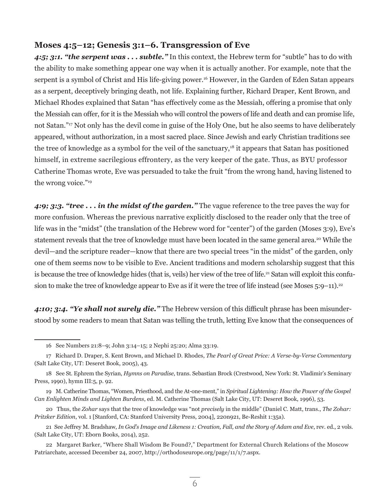## **Moses 4:5–12; Genesis 3:1–6. Transgression of Eve**

*4:5; 3:1. "the serpent was . . . subtle."* In this context, the Hebrew term for "subtle" has to do with the ability to make something appear one way when it is actually another. For example, note that the serpent is a symbol of Christ and His life-giving power.<sup>16</sup> However, in the Garden of Eden Satan appears as a serpent, deceptively bringing death, not life. Explaining further, Richard Draper, Kent Brown, and Michael Rhodes explained that Satan "has effectively come as the Messiah, offering a promise that only the Messiah can offer, for it is the Messiah who will control the powers of life and death and can promise life, not Satan."17 Not only has the devil come in guise of the Holy One, but he also seems to have deliberately appeared, without authorization, in a most sacred place. Since Jewish and early Christian traditions see the tree of knowledge as a symbol for the veil of the sanctuary,<sup>18</sup> it appears that Satan has positioned himself, in extreme sacrilegious effrontery, as the very keeper of the gate. Thus, as BYU professor Catherine Thomas wrote, Eve was persuaded to take the fruit "from the wrong hand, having listened to the wrong voice."<sup>19</sup>

*4:9; 3:3. "tree . . . in the midst of the garden."* The vague reference to the tree paves the way for more confusion. Whereas the previous narrative explicitly disclosed to the reader only that the tree of life was in the "midst" (the translation of the Hebrew word for "center") of the garden (Moses 3:9), Eve's statement reveals that the tree of knowledge must have been located in the same general area.<sup>20</sup> While the devil—and the scripture reader—know that there are two special trees "in the midst" of the garden, only one of them seems now to be visible to Eve. Ancient traditions and modern scholarship suggest that this is because the tree of knowledge hides (that is, veils) her view of the tree of life.<sup>21</sup> Satan will exploit this confusion to make the tree of knowledge appear to Eve as if it were the tree of life instead (see Moses  $5:9-11$ ).<sup>22</sup>

*4:10; 3:4. "Ye shall not surely die."* The Hebrew version of this difficult phrase has been misunderstood by some readers to mean that Satan was telling the truth, letting Eve know that the consequences of

21 See Jeffrey M. Bradshaw, *In God's Image and Likeness 1: Creation, Fall, and the Story of Adam and Eve*, rev. ed., 2 vols. (Salt Lake City, UT: Eborn Books, 2014), 252.

<sup>16</sup> See Numbers 21:8–9; John 3:14–15; 2 Nephi 25:20; Alma 33:19.

<sup>17</sup> Richard D. Draper, S. Kent Brown, and Michael D. Rhodes, *The Pearl of Great Price: A Verse-by-Verse Commentary* (Salt Lake City, UT: Deseret Book, 2005), 43.

<sup>18</sup> See St. Ephrem the Syrian, *Hymns on Paradise*, trans. Sebastian Brock (Crestwood, New York: St. Vladimir's Seminary Press, 1990), hymn III:5, p. 92.

<sup>19</sup> M. Catherine Thomas, "Women, Priesthood, and the At-one-ment," in *Spiritual Lightening: How the Power of the Gospel Can Enlighten Minds and Lighten Burdens*, ed. M. Catherine Thomas (Salt Lake City, UT: Deseret Book, 1996), 53.

<sup>20</sup> Thus, the *Zohar* says that the tree of knowledge was "not *precisely* in the middle" (Daniel C. Matt, trans., *The Zohar: Pritzker Edition*, vol. 1 [Stanford, CA: Stanford University Press, 2004], 220n921, Be-Reshit 1:35a).

<sup>22</sup> Margaret Barker, "Where Shall Wisdom Be Found?," Department for External Church Relations of the Moscow Patriarchate, accessed December 24, 2007, http://orthodoxeurope.org/page/11/1/7.aspx.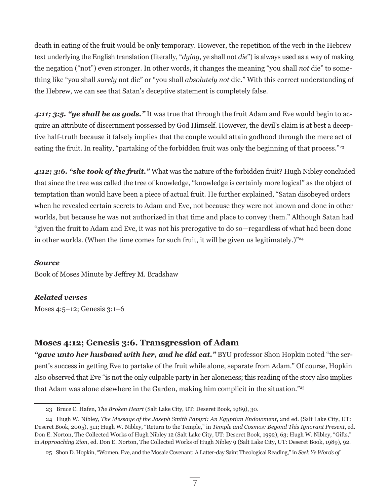death in eating of the fruit would be only temporary. However, the repetition of the verb in the Hebrew text underlying the English translation (literally, "*dying*, ye shall not *die*") is always used as a way of making the negation ("not") even stronger. In other words, it changes the meaning "you shall *not* die" to something like "you shall *surely* not die" or "you shall *absolutely not* die." With this correct understanding of the Hebrew, we can see that Satan's deceptive statement is completely false.

*4:11; 3:5. "ye shall be as gods."* It was true that through the fruit Adam and Eve would begin to acquire an attribute of discernment possessed by God Himself. However, the devil's claim is at best a deceptive half-truth because it falsely implies that the couple would attain godhood through the mere act of eating the fruit. In reality, "partaking of the forbidden fruit was only the beginning of that process."<sup>23</sup>

*4:12; 3:6. "she took of the fruit."* What was the nature of the forbidden fruit? Hugh Nibley concluded that since the tree was called the tree of knowledge, "knowledge is certainly more logical" as the object of temptation than would have been a piece of actual fruit. He further explained, "Satan disobeyed orders when he revealed certain secrets to Adam and Eve, not because they were not known and done in other worlds, but because he was not authorized in that time and place to convey them." Although Satan had "given the fruit to Adam and Eve, it was not his prerogative to do so—regardless of what had been done in other worlds. (When the time comes for such fruit, it will be given us legitimately.)<sup>"24</sup>

#### *Source*

Book of Moses Minute by Jeffrey M. Bradshaw

## *Related verses*

Moses 4:5–12; Genesis 3:1–6

## **Moses 4:12; Genesis 3:6. Transgression of Adam**

*"gave unto her husband with her, and he did eat."* BYU professor Shon Hopkin noted "the serpent's success in getting Eve to partake of the fruit while alone, separate from Adam." Of course, Hopkin also observed that Eve "is not the only culpable party in her aloneness; this reading of the story also implies that Adam was alone elsewhere in the Garden, making him complicit in the situation."25

<sup>23</sup> Bruce C. Hafen, *The Broken Heart* (Salt Lake City, UT: Deseret Book, 1989), 30.

<sup>24</sup> Hugh W. Nibley, *The Message of the Joseph Smith Papyri: An Egyptian Endowment*, 2nd ed. (Salt Lake City, UT: Deseret Book, 2005), 311; Hugh W. Nibley, "Return to the Temple," in *Temple and Cosmos: Beyond This Ignorant Present*, ed. Don E. Norton, The Collected Works of Hugh Nibley 12 (Salt Lake City, UT: Deseret Book, 1992), 63; Hugh W. Nibley, "Gifts," in *Approaching Zion*, ed. Don E. Norton, The Collected Works of Hugh Nibley 9 (Salt Lake City, UT: Deseret Book, 1989), 92.

<sup>25</sup> Shon D. Hopkin, "Women, Eve, and the Mosaic Covenant: A Latter-day Saint Theological Reading," in *Seek Ye Words of*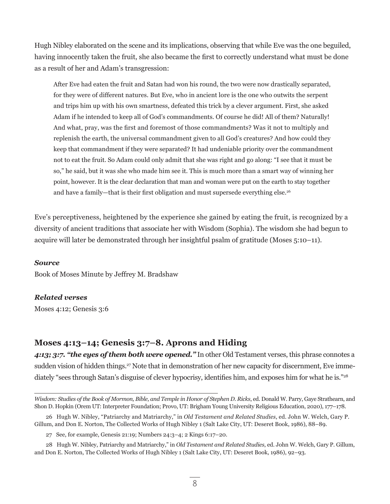Hugh Nibley elaborated on the scene and its implications, observing that while Eve was the one beguiled, having innocently taken the fruit, she also became the first to correctly understand what must be done as a result of her and Adam's transgression:

After Eve had eaten the fruit and Satan had won his round, the two were now drastically separated, for they were of different natures. But Eve, who in ancient lore is the one who outwits the serpent and trips him up with his own smartness, defeated this trick by a clever argument. First, she asked Adam if he intended to keep all of God's commandments. Of course he did! All of them? Naturally! And what, pray, was the first and foremost of those commandments? Was it not to multiply and replenish the earth, the universal commandment given to all God's creatures? And how could they keep that commandment if they were separated? It had undeniable priority over the commandment not to eat the fruit. So Adam could only admit that she was right and go along: "I see that it must be so," he said, but it was she who made him see it. This is much more than a smart way of winning her point, however. It is the clear declaration that man and woman were put on the earth to stay together and have a family—that is their first obligation and must supersede everything else.<sup>26</sup>

Eve's perceptiveness, heightened by the experience she gained by eating the fruit, is recognized by a diversity of ancient traditions that associate her with Wisdom (Sophia). The wisdom she had begun to acquire will later be demonstrated through her insightful psalm of gratitude (Moses 5:10–11).

## *Source*

Book of Moses Minute by Jeffrey M. Bradshaw

## *Related verses*

Moses 4:12; Genesis 3:6

## **Moses 4:13–14; Genesis 3:7–8. Aprons and Hiding**

*4:13; 3:7. "the eyes of them both were opened."* In other Old Testament verses, this phrase connotes a sudden vision of hidden things.<sup>27</sup> Note that in demonstration of her new capacity for discernment, Eve immediately "sees through Satan's disguise of clever hypocrisy, identifies him, and exposes him for what he is."<sup>28</sup>

*Wisdom: Studies of the Book of Mormon, Bible, and Temple in Honor of Stephen D. Ricks*, ed. Donald W. Parry, Gaye Strathearn, and Shon D. Hopkin (Orem UT: Interpreter Foundation; Provo, UT: Brigham Young University Religious Education, 2020), 177–178.

<sup>26</sup> Hugh W. Nibley, "Patriarchy and Matriarchy," in *Old Testament and Related Studies*, ed. John W. Welch, Gary P. Gillum, and Don E. Norton, The Collected Works of Hugh Nibley 1 (Salt Lake City, UT: Deseret Book, 1986), 88–89.

<sup>27</sup> See, for example, Genesis 21:19; Numbers 24:3–4; 2 Kings 6:17–20.

<sup>28</sup> Hugh W. Nibley, Patriarchy and Matriarchy," in *Old Testament and Related Studies*, ed. John W. Welch, Gary P. Gillum, and Don E. Norton, The Collected Works of Hugh Nibley 1 (Salt Lake City, UT: Deseret Book, 1986), 92–93.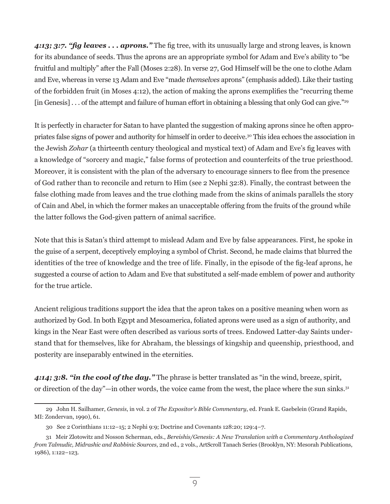*4:13; 3:7. "fig leaves . . . aprons."* The fig tree, with its unusually large and strong leaves, is known for its abundance of seeds. Thus the aprons are an appropriate symbol for Adam and Eve's ability to "be fruitful and multiply" after the Fall (Moses 2:28). In verse 27, God Himself will be the one to clothe Adam and Eve, whereas in verse 13 Adam and Eve "made *themselves* aprons" (emphasis added). Like their tasting of the forbidden fruit (in Moses 4:12), the action of making the aprons exemplifies the "recurring theme [in Genesis] . . . of the attempt and failure of human effort in obtaining a blessing that only God can give."<sup>29</sup>

It is perfectly in character for Satan to have planted the suggestion of making aprons since he often appropriates false signs of power and authority for himself in order to deceive.30 This idea echoes the association in the Jewish *Zohar* (a thirteenth century theological and mystical text) of Adam and Eve's fig leaves with a knowledge of "sorcery and magic," false forms of protection and counterfeits of the true priesthood. Moreover, it is consistent with the plan of the adversary to encourage sinners to flee from the presence of God rather than to reconcile and return to Him (see 2 Nephi 32:8). Finally, the contrast between the false clothing made from leaves and the true clothing made from the skins of animals parallels the story of Cain and Abel, in which the former makes an unacceptable offering from the fruits of the ground while the latter follows the God-given pattern of animal sacrifice.

Note that this is Satan's third attempt to mislead Adam and Eve by false appearances. First, he spoke in the guise of a serpent, deceptively employing a symbol of Christ. Second, he made claims that blurred the identities of the tree of knowledge and the tree of life. Finally, in the episode of the fig-leaf aprons, he suggested a course of action to Adam and Eve that substituted a self-made emblem of power and authority for the true article.

Ancient religious traditions support the idea that the apron takes on a positive meaning when worn as authorized by God. In both Egypt and Mesoamerica, foliated aprons were used as a sign of authority, and kings in the Near East were often described as various sorts of trees. Endowed Latter-day Saints understand that for themselves, like for Abraham, the blessings of kingship and queenship, priesthood, and posterity are inseparably entwined in the eternities.

*4:14; 3:8. "in the cool of the day."* The phrase is better translated as "in the wind, breeze, spirit, or direction of the day"—in other words, the voice came from the west, the place where the sun sinks.<sup>31</sup>

<sup>29</sup> John H. Sailhamer, *Genesis*, in vol. 2 of *The Expositor's Bible Commentary*, ed. Frank E. Gaebelein (Grand Rapids, MI: Zondervan, 1990), 61.

<sup>30</sup> See 2 Corinthians 11:12–15; 2 Nephi 9:9; Doctrine and Covenants 128:20; 129:4–7.

<sup>31</sup> Meir Zlotowitz and Nosson Scherman, eds., *Bereishis/Genesis: A New Translation with a Commentary Anthologized from Talmudic, Midrashic and Rabbinic Sources*, 2nd ed., 2 vols., ArtScroll Tanach Series (Brooklyn, NY: Mesorah Publications, 1986), 1:122–123.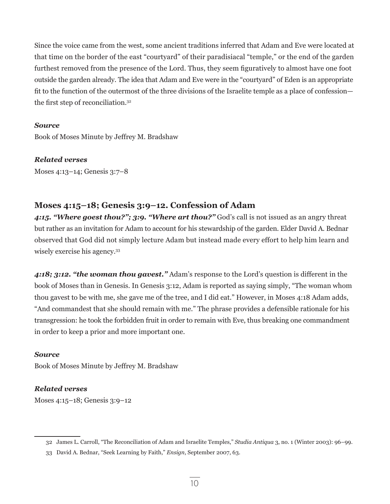Since the voice came from the west, some ancient traditions inferred that Adam and Eve were located at that time on the border of the east "courtyard" of their paradisiacal "temple," or the end of the garden furthest removed from the presence of the Lord. Thus, they seem figuratively to almost have one foot outside the garden already. The idea that Adam and Eve were in the "courtyard" of Eden is an appropriate fit to the function of the outermost of the three divisions of the Israelite temple as a place of confession the first step of reconciliation.<sup>32</sup>

## *Source*

Book of Moses Minute by Jeffrey M. Bradshaw

*Related verses*

Moses 4:13–14; Genesis 3:7–8

## **Moses 4:15–18; Genesis 3:9–12. Confession of Adam**

4:15. "Where goest thou?"; 3:9. "Where art thou?" God's call is not issued as an angry threat but rather as an invitation for Adam to account for his stewardship of the garden. Elder David A. Bednar observed that God did not simply lecture Adam but instead made every effort to help him learn and wisely exercise his agency.<sup>33</sup>

*4:18; 3:12. "the woman thou gavest."* Adam's response to the Lord's question is different in the book of Moses than in Genesis. In Genesis 3:12, Adam is reported as saying simply, "The woman whom thou gavest to be with me, she gave me of the tree, and I did eat." However, in Moses 4:18 Adam adds, "And commandest that she should remain with me." The phrase provides a defensible rationale for his transgression: he took the forbidden fruit in order to remain with Eve, thus breaking one commandment in order to keep a prior and more important one.

## *Source*

Book of Moses Minute by Jeffrey M. Bradshaw

## *Related verses*

Moses 4:15–18; Genesis 3:9–12

<sup>32</sup> James L. Carroll, "The Reconciliation of Adam and Israelite Temples," *Studia Antiqua* 3, no. 1 (Winter 2003): 96–99.

<sup>33</sup> David A. Bednar, "Seek Learning by Faith," *Ensign*, September 2007, 63.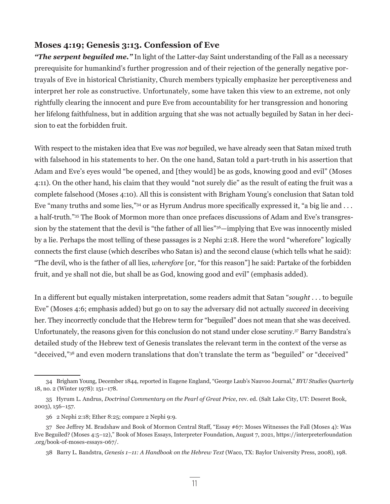## **Moses 4:19; Genesis 3:13. Confession of Eve**

*"The serpent beguiled me."* In light of the Latter-day Saint understanding of the Fall as a necessary prerequisite for humankind's further progression and of their rejection of the generally negative portrayals of Eve in historical Christianity, Church members typically emphasize her perceptiveness and interpret her role as constructive. Unfortunately, some have taken this view to an extreme, not only rightfully clearing the innocent and pure Eve from accountability for her transgression and honoring her lifelong faithfulness, but in addition arguing that she was not actually beguiled by Satan in her decision to eat the forbidden fruit.

With respect to the mistaken idea that Eve was *not* beguiled, we have already seen that Satan mixed truth with falsehood in his statements to her. On the one hand, Satan told a part-truth in his assertion that Adam and Eve's eyes would "be opened, and [they would] be as gods, knowing good and evil" (Moses 4:11). On the other hand, his claim that they would "not surely die" as the result of eating the fruit was a complete falsehood (Moses 4:10). All this is consistent with Brigham Young's conclusion that Satan told Eve "many truths and some lies,"<sup>34</sup> or as Hyrum Andrus more specifically expressed it, "a big lie and . . . a half-truth."35 The Book of Mormon more than once prefaces discussions of Adam and Eve's transgression by the statement that the devil is "the father of all lies"36—implying that Eve was innocently misled by a lie. Perhaps the most telling of these passages is 2 Nephi 2:18. Here the word "wherefore" logically connects the first clause (which describes who Satan is) and the second clause (which tells what he said): "The devil, who is the father of all lies, *wherefore* [or, "for this reason"] he said: Partake of the forbidden fruit, and ye shall not die, but shall be as God, knowing good and evil" (emphasis added).

In a different but equally mistaken interpretation, some readers admit that Satan "*sought* . . . to beguile Eve" (Moses 4:6; emphasis added) but go on to say the adversary did not actually *succeed* in deceiving her. They incorrectly conclude that the Hebrew term for "beguiled" does not mean that she was deceived. Unfortunately, the reasons given for this conclusion do not stand under close scrutiny*.* <sup>37</sup> Barry Bandstra's detailed study of the Hebrew text of Genesis translates the relevant term in the context of the verse as "deceived,"38 and even modern translations that don't translate the term as "beguiled" or "deceived"

<sup>34</sup> Brigham Young, December 1844, reported in Eugene England, "George Laub's Nauvoo Journal," *BYU Studies Quarterly* 18, no. 2 (Winter 1978): 151–178.

<sup>35</sup> Hyrum L. Andrus, *Doctrinal Commentary on the Pearl of Great Price*, rev. ed. (Salt Lake City, UT: Deseret Book, 2003), 156–157.

<sup>36 2</sup> Nephi 2:18; Ether 8:25; compare 2 Nephi 9:9.

<sup>37</sup> See Jeffrey M. Bradshaw and Book of Mormon Central Staff, "Essay #67: Moses Witnesses the Fall (Moses 4): Was Eve Beguiled? (Moses 4:5–12)," Book of Moses Essays, Interpreter Foundation, August 7, 2021, https://interpreterfoundation .org/book-of-moses-essays-067/.

<sup>38</sup> Barry L. Bandstra, *Genesis 1–11: A Handbook on the Hebrew Text* (Waco, TX: Baylor University Press, 2008), 198.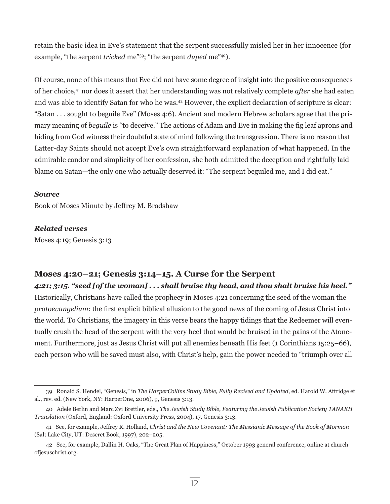retain the basic idea in Eve's statement that the serpent successfully misled her in her innocence (for example, "the serpent *tricked* me"<sup>39</sup>; "the serpent *duped* me"<sup>40</sup>).

Of course, none of this means that Eve did not have some degree of insight into the positive consequences of her choice,41 nor does it assert that her understanding was not relatively complete *after* she had eaten and was able to identify Satan for who he was.42 However, the explicit declaration of scripture is clear: "Satan . . . sought to beguile Eve" (Moses 4:6). Ancient and modern Hebrew scholars agree that the primary meaning of *beguile* is "to deceive." The actions of Adam and Eve in making the fig leaf aprons and hiding from God witness their doubtful state of mind following the transgression. There is no reason that Latter-day Saints should not accept Eve's own straightforward explanation of what happened. In the admirable candor and simplicity of her confession, she both admitted the deception and rightfully laid blame on Satan—the only one who actually deserved it: "The serpent beguiled me, and I did eat."

#### *Source*

Book of Moses Minute by Jeffrey M. Bradshaw

## *Related verses*

Moses 4:19; Genesis 3:13

## **Moses 4:20–21; Genesis 3:14–15. A Curse for the Serpent**

## *4:21; 3:15. "seed [of the woman] . . . shall bruise thy head, and thou shalt bruise his heel."*

Historically, Christians have called the prophecy in Moses 4:21 concerning the seed of the woman the *protoevangelium*: the first explicit biblical allusion to the good news of the coming of Jesus Christ into the world. To Christians, the imagery in this verse bears the happy tidings that the Redeemer will eventually crush the head of the serpent with the very heel that would be bruised in the pains of the Atonement. Furthermore, just as Jesus Christ will put all enemies beneath His feet (1 Corinthians 15:25–66), each person who will be saved must also, with Christ's help, gain the power needed to "triumph over all

<sup>39</sup> Ronald S. Hendel, "Genesis," in *The HarperCollins Study Bible, Fully Revised and Updated*, ed. Harold W. Attridge et al., rev. ed. (New York, NY: HarperOne, 2006), 9, Genesis 3:13.

<sup>40</sup> Adele Berlin and Marc Zvi Brettler, eds., *The Jewish Study Bible, Featuring the Jewish Publication Society TANAKH Translation* (Oxford, England: Oxford University Press, 2004), 17, Genesis 3:13.

<sup>41</sup> See, for example, Jeffrey R. Holland, *Christ and the New Covenant: The Messianic Message of the Book of Mormon* (Salt Lake City, UT: Deseret Book, 1997), 202–205.

<sup>42</sup> See, for example, Dallin H. Oaks, "The Great Plan of Happiness," October 1993 general conference, online at church ofjesuschrist.org.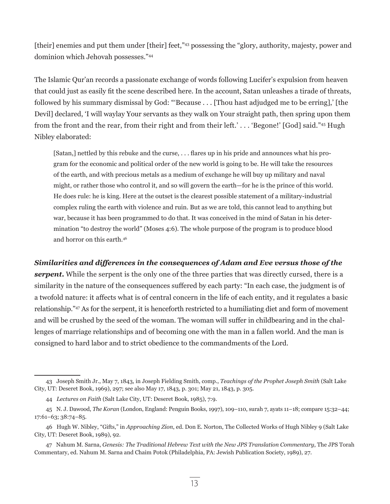[their] enemies and put them under [their] feet,"<sup>43</sup> possessing the "glory, authority, majesty, power and dominion which Jehovah possesses."44

The Islamic Qur'an records a passionate exchange of words following Lucifer's expulsion from heaven that could just as easily fit the scene described here. In the account, Satan unleashes a tirade of threats, followed by his summary dismissal by God: "'Because . . . [Thou hast adjudged me to be erring],' [the Devil] declared, 'I will waylay Your servants as they walk on Your straight path, then spring upon them from the front and the rear, from their right and from their left.' . . . 'Begone!' [God] said."45 Hugh Nibley elaborated:

[Satan,] nettled by this rebuke and the curse, . . . flares up in his pride and announces what his program for the economic and political order of the new world is going to be. He will take the resources of the earth, and with precious metals as a medium of exchange he will buy up military and naval might, or rather those who control it, and so will govern the earth—for he is the prince of this world. He does rule: he is king. Here at the outset is the clearest possible statement of a military-industrial complex ruling the earth with violence and ruin. But as we are told, this cannot lead to anything but war, because it has been programmed to do that. It was conceived in the mind of Satan in his determination "to destroy the world" (Moses 4:6). The whole purpose of the program is to produce blood and horror on this earth.46

## *Similarities and differences in the consequences of Adam and Eve versus those of the*

**serpent.** While the serpent is the only one of the three parties that was directly cursed, there is a similarity in the nature of the consequences suffered by each party: "In each case, the judgment is of a twofold nature: it affects what is of central concern in the life of each entity, and it regulates a basic relationship."47 As for the serpent, it is henceforth restricted to a humiliating diet and form of movement and will be crushed by the seed of the woman. The woman will suffer in childbearing and in the challenges of marriage relationships and of becoming one with the man in a fallen world. And the man is consigned to hard labor and to strict obedience to the commandments of the Lord.

<sup>43</sup> Joseph Smith Jr., May 7, 1843, in Joseph Fielding Smith, comp., *Teachings of the Prophet Joseph Smith* (Salt Lake City, UT: Deseret Book, 1969), 297; see also May 17, 1843, p. 301; May 21, 1843, p. 305.

<sup>44</sup> *Lectures on Faith* (Salt Lake City, UT: Deseret Book, 1985), 7:9.

<sup>45</sup> N. J. Dawood, *The Koran* (London, England: Penguin Books, 1997), 109–110, surah 7, ayats 11–18; compare 15:32–44; 17:61–63; 38:74–85.

<sup>46</sup> Hugh W. Nibley, "Gifts," in *Approaching Zion*, ed. Don E. Norton, The Collected Works of Hugh Nibley 9 (Salt Lake City, UT: Deseret Book, 1989), 92.

<sup>47</sup> Nahum M. Sarna, *Genesis: The Traditional Hebrew Text with the New JPS Translation Commentary*, The JPS Torah Commentary, ed. Nahum M. Sarna and Chaim Potok (Philadelphia, PA: Jewish Publication Society, 1989), 27.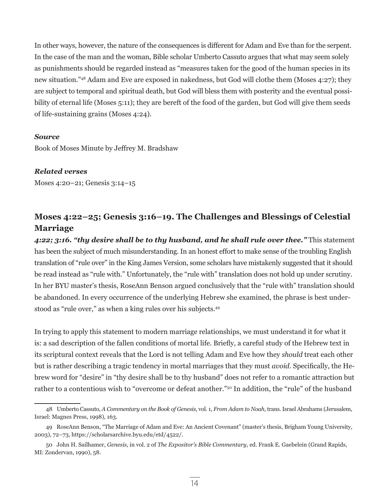In other ways, however, the nature of the consequences is different for Adam and Eve than for the serpent. In the case of the man and the woman, Bible scholar Umberto Cassuto argues that what may seem solely as punishments should be regarded instead as "measures taken for the good of the human species in its new situation."48 Adam and Eve are exposed in nakedness, but God will clothe them (Moses 4:27); they are subject to temporal and spiritual death, but God will bless them with posterity and the eventual possibility of eternal life (Moses 5:11); they are bereft of the food of the garden, but God will give them seeds of life-sustaining grains (Moses 4:24).

#### *Source*

Book of Moses Minute by Jeffrey M. Bradshaw

## *Related verses*

Moses 4:20–21; Genesis 3:14–15

# **Moses 4:22–25; Genesis 3:16–19. The Challenges and Blessings of Celestial Marriage**

*4:22; 3:16. "thy desire shall be to thy husband, and he shall rule over thee."* This statement has been the subject of much misunderstanding. In an honest effort to make sense of the troubling English translation of "rule over" in the King James Version, some scholars have mistakenly suggested that it should be read instead as "rule with." Unfortunately, the "rule with" translation does not hold up under scrutiny. In her BYU master's thesis, RoseAnn Benson argued conclusively that the "rule with" translation should be abandoned. In every occurrence of the underlying Hebrew she examined, the phrase is best understood as "rule over," as when a king rules over his subjects.49

In trying to apply this statement to modern marriage relationships, we must understand it for what it is: a sad description of the fallen conditions of mortal life. Briefly, a careful study of the Hebrew text in its scriptural context reveals that the Lord is not telling Adam and Eve how they *should* treat each other but is rather describing a tragic tendency in mortal marriages that they must *avoid.* Specifically, the Hebrew word for "desire" in "thy desire shall be to thy husband" does not refer to a romantic attraction but rather to a contentious wish to "overcome or defeat another."50 In addition, the "rule" of the husband

<sup>48</sup> Umberto Cassuto, *A Commentary on the Book of Genesis*, vol. 1, *From Adam to Noah*, trans. Israel Abrahams (Jerusalem, Israel: Magnes Press, 1998), 163.

<sup>49</sup> RoseAnn Benson, "The Marriage of Adam and Eve: An Ancient Covenant" (master's thesis, Brigham Young University, 2003), 72–73, https://scholarsarchive.byu.edu/etd/4522/.

<sup>50</sup> John H. Sailhamer, *Genesis*, in vol. 2 of *The Expositor's Bible Commentary*, ed. Frank E. Gaebelein (Grand Rapids, MI: Zondervan, 1990), 58.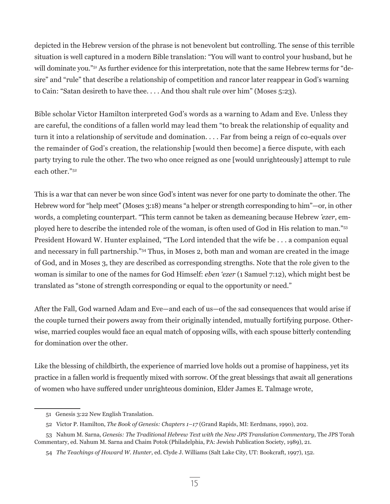depicted in the Hebrew version of the phrase is not benevolent but controlling. The sense of this terrible situation is well captured in a modern Bible translation: "You will want to control your husband, but he will dominate you."<sup>51</sup> As further evidence for this interpretation, note that the same Hebrew terms for "desire" and "rule" that describe a relationship of competition and rancor later reappear in God's warning to Cain: "Satan desireth to have thee. . . . And thou shalt rule over him" (Moses 5:23).

Bible scholar Victor Hamilton interpreted God's words as a warning to Adam and Eve. Unless they are careful, the conditions of a fallen world may lead them "to break the relationship of equality and turn it into a relationship of servitude and domination. . . . Far from being a reign of co-equals over the remainder of God's creation, the relationship [would then become] a fierce dispute, with each party trying to rule the other. The two who once reigned as one [would unrighteously] attempt to rule each other."52

This is a war that can never be won since God's intent was never for one party to dominate the other. The Hebrew word for "help meet" (Moses 3:18) means "a helper or strength corresponding to him"—or, in other words, a completing counterpart. "This term cannot be taken as demeaning because Hebrew *'ezer*, employed here to describe the intended role of the woman, is often used of God in His relation to man."53 President Howard W. Hunter explained, "The Lord intended that the wife be . . . a companion equal and necessary in full partnership."54 Thus, in Moses 2, both man and woman are created in the image of God, and in Moses 3, they are described as corresponding strengths. Note that the role given to the woman is similar to one of the names for God Himself: *eben 'ezer* (1 Samuel 7:12), which might best be translated as "stone of strength corresponding or equal to the opportunity or need."

After the Fall, God warned Adam and Eve—and each of us—of the sad consequences that would arise if the couple turned their powers away from their originally intended, mutually fortifying purpose. Otherwise, married couples would face an equal match of opposing wills, with each spouse bitterly contending for domination over the other.

Like the blessing of childbirth, the experience of married love holds out a promise of happiness, yet its practice in a fallen world is frequently mixed with sorrow. Of the great blessings that await all generations of women who have suffered under unrighteous dominion, Elder James E. Talmage wrote,

<sup>51</sup> Genesis 3:22 New English Translation.

<sup>52</sup> Victor P. Hamilton, *The Book of Genesis: Chapters 1–17* (Grand Rapids, MI: Eerdmans, 1990), 202.

<sup>53</sup> Nahum M. Sarna, *Genesis: The Traditional Hebrew Text with the New JPS Translation Commentary*, The JPS Torah Commentary, ed. Nahum M. Sarna and Chaim Potok (Philadelphia, PA: Jewish Publication Society, 1989), 21.

<sup>54</sup> *The Teachings of Howard W. Hunter*, ed. Clyde J. Williams (Salt Lake City, UT: Bookcraft, 1997), 152.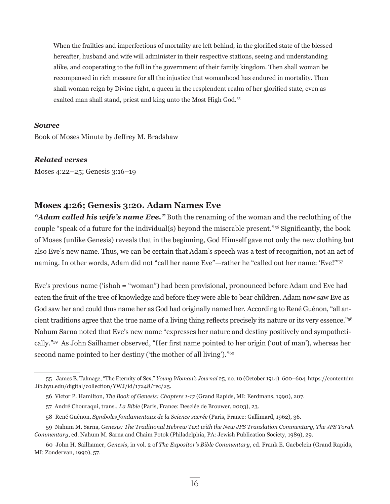When the frailties and imperfections of mortality are left behind, in the glorified state of the blessed hereafter, husband and wife will administer in their respective stations, seeing and understanding alike, and cooperating to the full in the government of their family kingdom. Then shall woman be recompensed in rich measure for all the injustice that womanhood has endured in mortality. Then shall woman reign by Divine right, a queen in the resplendent realm of her glorified state, even as exalted man shall stand, priest and king unto the Most High God.55

## *Source*

Book of Moses Minute by Jeffrey M. Bradshaw

#### *Related verses*

Moses 4:22–25; Genesis 3:16–19

## **Moses 4:26; Genesis 3:20. Adam Names Eve**

*"Adam called his wife's name Eve."* Both the renaming of the woman and the reclothing of the couple "speak of a future for the individual(s) beyond the miserable present."56 Significantly, the book of Moses (unlike Genesis) reveals that in the beginning, God Himself gave not only the new clothing but also Eve's new name. Thus, we can be certain that Adam's speech was a test of recognition, not an act of naming. In other words, Adam did not "call her name Eve"—rather he "called out her name: 'Eve!'"<sup>57</sup>

Eve's previous name ('ishah = "woman") had been provisional, pronounced before Adam and Eve had eaten the fruit of the tree of knowledge and before they were able to bear children. Adam now saw Eve as God saw her and could thus name her as God had originally named her. According to René Guénon, "all ancient traditions agree that the true name of a living thing reflects precisely its nature or its very essence."<sup>58</sup> Nahum Sarna noted that Eve's new name "expresses her nature and destiny positively and sympathetically."59 As John Sailhamer observed, "Her first name pointed to her origin ('out of man'), whereas her second name pointed to her destiny ('the mother of all living')."<sup>60</sup>

<sup>55</sup> James E. Talmage, "The Eternity of Sex," *Young Woman's Journal* 25, no. 10 (October 1914): 600–604, https://contentdm .lib.byu.edu/digital/collection/YWJ/id/17248/rec/25.

<sup>56</sup> Victor P. Hamilton, *The Book of Genesis: Chapters 1-17* (Grand Rapids, MI: Eerdmans, 1990), 207.

<sup>57</sup> André Chouraqui, trans., *La Bible* (Paris, France: Desclée de Brouwer, 2003), 23.

<sup>58</sup> René Guénon, *Symboles fondamentaux de la Science sacrée* (Paris, France: Gallimard, 1962), 36.

<sup>59</sup> Nahum M. Sarna, *Genesis: The Traditional Hebrew Text with the New JPS Translation Commentary, The JPS Torah Commentary*, ed. Nahum M. Sarna and Chaim Potok (Philadelphia, PA: Jewish Publication Society, 1989), 29.

<sup>60</sup> John H. Sailhamer, *Genesis*, in vol. 2 of *The Expositor's Bible Commentary*, ed. Frank E. Gaebelein (Grand Rapids, MI: Zondervan, 1990), 57.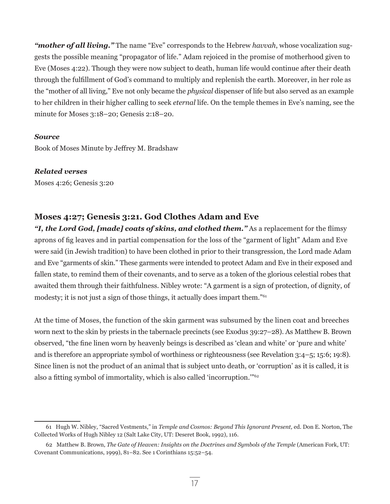*"mother of all living."* The name "Eve" corresponds to the Hebrew *havvah*, whose vocalization suggests the possible meaning "propagator of life." Adam rejoiced in the promise of motherhood given to Eve (Moses 4:22). Though they were now subject to death, human life would continue after their death through the fulfillment of God's command to multiply and replenish the earth. Moreover, in her role as the "mother of all living," Eve not only became the *physical* dispenser of life but also served as an example to her children in their higher calling to seek *eternal* life. On the temple themes in Eve's naming, see the minute for Moses 3:18–20; Genesis 2:18–20.

## *Source*

Book of Moses Minute by Jeffrey M. Bradshaw

## *Related verses*

Moses 4:26; Genesis 3:20

## **Moses 4:27; Genesis 3:21. God Clothes Adam and Eve**

*"I, the Lord God, [made] coats of skins, and clothed them."* As a replacement for the flimsy aprons of fig leaves and in partial compensation for the loss of the "garment of light" Adam and Eve were said (in Jewish tradition) to have been clothed in prior to their transgression, the Lord made Adam and Eve "garments of skin." These garments were intended to protect Adam and Eve in their exposed and fallen state, to remind them of their covenants, and to serve as a token of the glorious celestial robes that awaited them through their faithfulness. Nibley wrote: "A garment is a sign of protection, of dignity, of modesty; it is not just a sign of those things, it actually does impart them."61

At the time of Moses, the function of the skin garment was subsumed by the linen coat and breeches worn next to the skin by priests in the tabernacle precincts (see Exodus 39:27–28). As Matthew B. Brown observed, "the fine linen worn by heavenly beings is described as 'clean and white' or 'pure and white' and is therefore an appropriate symbol of worthiness or righteousness (see Revelation 3:4–5; 15:6; 19:8). Since linen is not the product of an animal that is subject unto death, or 'corruption' as it is called, it is also a fitting symbol of immortality, which is also called 'incorruption.'"<sup>62</sup>

<sup>61</sup> Hugh W. Nibley, "Sacred Vestments," in *Temple and Cosmos: Beyond This Ignorant Present,* ed. Don E. Norton, The Collected Works of Hugh Nibley 12 (Salt Lake City, UT: Deseret Book, 1992), 116.

<sup>62</sup> Matthew B. Brown, *The Gate of Heaven: Insights on the Doctrines and Symbols of the Temple* (American Fork, UT: Covenant Communications, 1999), 81–82. See 1 Corinthians 15:52–54.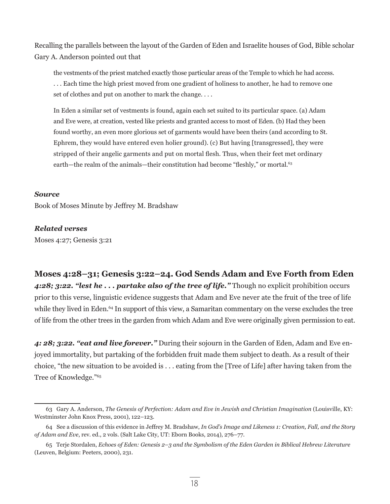Recalling the parallels between the layout of the Garden of Eden and Israelite houses of God, Bible scholar Gary A. Anderson pointed out that

the vestments of the priest matched exactly those particular areas of the Temple to which he had access. . . . Each time the high priest moved from one gradient of holiness to another, he had to remove one set of clothes and put on another to mark the change. . . .

In Eden a similar set of vestments is found, again each set suited to its particular space. (a) Adam and Eve were, at creation, vested like priests and granted access to most of Eden. (b) Had they been found worthy, an even more glorious set of garments would have been theirs (and according to St. Ephrem, they would have entered even holier ground). (c) But having [transgressed], they were stripped of their angelic garments and put on mortal flesh. Thus, when their feet met ordinary earth—the realm of the animals—their constitution had become "fleshly," or mortal.<sup>63</sup>

#### *Source*

Book of Moses Minute by Jeffrey M. Bradshaw

## *Related verses*

Moses 4:27; Genesis 3:21

## **Moses 4:28–31; Genesis 3:22–24. God Sends Adam and Eve Forth from Eden**

*4:28; 3:22. "lest he . . . partake also of the tree of life."* Though no explicit prohibition occurs prior to this verse, linguistic evidence suggests that Adam and Eve never ate the fruit of the tree of life while they lived in Eden.<sup>64</sup> In support of this view, a Samaritan commentary on the verse excludes the tree of life from the other trees in the garden from which Adam and Eve were originally given permission to eat.

*4: 28; 3:22. "eat and live forever."* During their sojourn in the Garden of Eden, Adam and Eve enjoyed immortality, but partaking of the forbidden fruit made them subject to death. As a result of their choice, "the new situation to be avoided is . . . eating from the [Tree of Life] after having taken from the Tree of Knowledge."65

<sup>63</sup> Gary A. Anderson, *The Genesis of Perfection: Adam and Eve in Jewish and Christian Imagination* (Louisville, KY: Westminster John Knox Press, 2001), 122–123.

<sup>64</sup> See a discussion of this evidence in Jeffrey M. Bradshaw, *In God's Image and Likeness 1: Creation, Fall, and the Story of Adam and Eve*, rev. ed., 2 vols. (Salt Lake City, UT: Eborn Books, 2014), 276–77.

<sup>65</sup> Terje Stordalen, *Echoes of Eden: Genesis 2–3 and the Symbolism of the Eden Garden in Biblical Hebrew Literature* (Leuven, Belgium: Peeters, 2000), 231.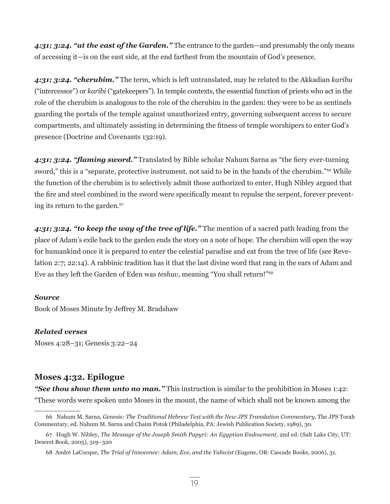*4:31; 3:24. "at the east of the Garden."* The entrance to the garden—and presumably the only means of accessing it—is on the east side, at the end farthest from the mountain of God's presence.

*4:31; 3:24. "cherubim."* The term, which is left untranslated, may be related to the Akkadian *karibu* ("intercessor") or *karibi* ("gatekeepers"). In temple contexts, the essential function of priests who act in the role of the cherubim is analogous to the role of the cherubim in the garden: they were to be as sentinels guarding the portals of the temple against unauthorized entry, governing subsequent access to secure compartments, and ultimately assisting in determining the fitness of temple worshipers to enter God's presence (Doctrine and Covenants 132:19).

*4:31; 3:24. "flaming sword."* Translated by Bible scholar Nahum Sarna as "the fiery ever-turning sword," this is a "separate, protective instrument, not said to be in the hands of the cherubim."<sup>66</sup> While the function of the cherubim is to selectively admit those authorized to enter, Hugh Nibley argued that the fire and steel combined in the sword were specifically meant to repulse the serpent, forever preventing its return to the garden.<sup>67</sup>

*4:31; 3:24. "to keep the way of the tree of life."* The mention of a sacred path leading from the place of Adam's exile back to the garden ends the story on a note of hope. The cherubim will open the way for humankind once it is prepared to enter the celestial paradise and eat from the tree of life (see Revelation 2:7; 22:14). A rabbinic tradition has it that the last divine word that rang in the ears of Adam and Eve as they left the Garden of Eden was *teshuv*, meaning "You shall return!"<sup>68</sup>

## *Source*

Book of Moses Minute by Jeffrey M. Bradshaw

## *Related verses*

Moses 4:28–31; Genesis 3:22–24

## **Moses 4:32. Epilogue**

*"See thou show them unto no man."* This instruction is similar to the prohibition in Moses 1:42: "These words were spoken unto Moses in the mount, the name of which shall not be known among the

<sup>66</sup> Nahum M. Sarna, *Genesis: The Traditional Hebrew Text with the New JPS Translation Commentary*, The JPS Torah Commentary, ed. Nahum M. Sarna and Chaim Potok (Philadelphia, PA: Jewish Publication Society, 1989), 30.

<sup>67</sup> Hugh W. Nibley, *The Message of the Joseph Smith Papyri: An Egyptian Endowment*, 2nd ed. (Salt Lake City, UT: Deseret Book, 2005), 319–320

<sup>68</sup> André LaCocque, *The Trial of Innocence: Adam, Eve, and the Yahwist* (Eugene, OR: Cascade Books, 2006), 31.